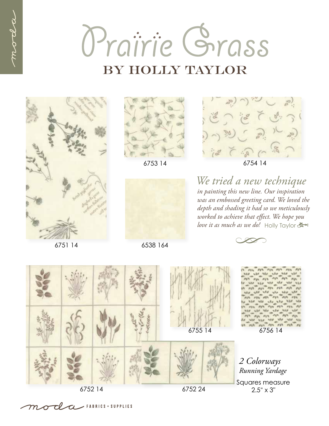Prairie Grass **BY HOLLY TAYLOR** 







6538 164



6753 14 6754 14

*in painting this new line. Our inspiration was an embossed greeting card. We loved the depth and shading it had so we meticulously worked to achieve that effect. We hope you love it as much as we do!* Holly Taylor *We tried a new technique*





CLC FABRICS + SUPPLIES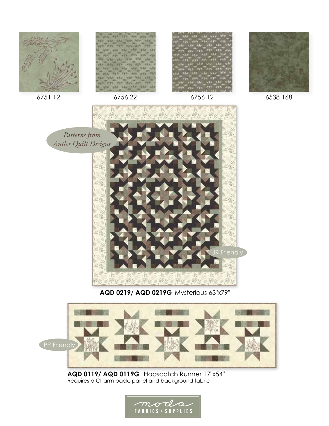









**AQD 0219/ AQD 0219G** Mysterious 63"x79"



**AQD 0119/ AQD 0119G** Hopscotch Runner 17"x54" Requires a Charm pack, panel and background fabric